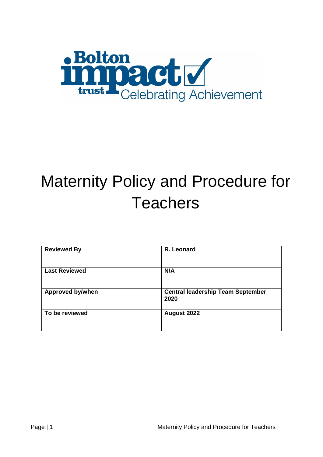

# Maternity Policy and Procedure for **Teachers**

| <b>Reviewed By</b>      | R. Leonard                                       |
|-------------------------|--------------------------------------------------|
| <b>Last Reviewed</b>    | N/A                                              |
| <b>Approved by/when</b> | <b>Central leadership Team September</b><br>2020 |
| To be reviewed          | August 2022                                      |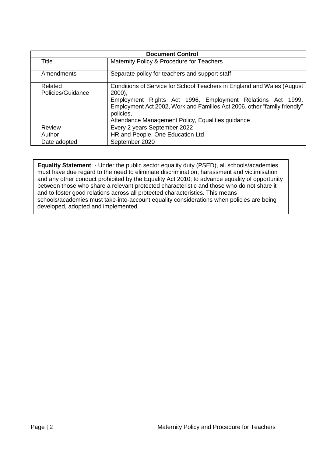| <b>Document Control</b>      |                                                                                                                                                                                                                                                                                                |  |
|------------------------------|------------------------------------------------------------------------------------------------------------------------------------------------------------------------------------------------------------------------------------------------------------------------------------------------|--|
| Title                        | Maternity Policy & Procedure for Teachers                                                                                                                                                                                                                                                      |  |
| Amendments                   | Separate policy for teachers and support staff                                                                                                                                                                                                                                                 |  |
| Related<br>Policies/Guidance | Conditions of Service for School Teachers in England and Wales (August<br>$2000$ ,<br>Employment Rights Act 1996, Employment Relations Act 1999,<br>Employment Act 2002, Work and Families Act 2006, other "family friendly"<br>policies,<br>Attendance Management Policy, Equalities guidance |  |
| <b>Review</b>                | Every 2 years September 2022                                                                                                                                                                                                                                                                   |  |
| Author                       | HR and People, One Education Ltd                                                                                                                                                                                                                                                               |  |
| Date adopted                 | September 2020                                                                                                                                                                                                                                                                                 |  |

**Equality Statement**: - Under the public sector equality duty (PSED), all schools/academies must have due regard to the need to eliminate discrimination, harassment and victimisation and any other conduct prohibited by the Equality Act 2010; to advance equality of opportunity between those who share a relevant protected characteristic and those who do not share it and to foster good relations across all protected characteristics. This means schools/academies must take-into-account equality considerations when policies are being developed, adopted and implemented.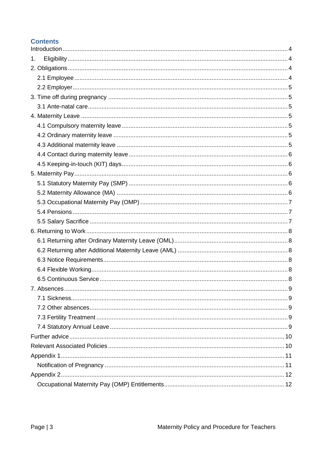## **Contents**

| 1.          |   |
|-------------|---|
|             |   |
|             |   |
|             |   |
|             |   |
|             |   |
|             |   |
|             |   |
|             |   |
|             |   |
|             |   |
|             |   |
|             |   |
|             |   |
|             |   |
|             |   |
|             |   |
|             |   |
|             |   |
|             |   |
|             |   |
|             |   |
|             |   |
|             |   |
| 7. Absences | 9 |
|             |   |
|             |   |
|             |   |
|             |   |
|             |   |
|             |   |
|             |   |
|             |   |
|             |   |
|             |   |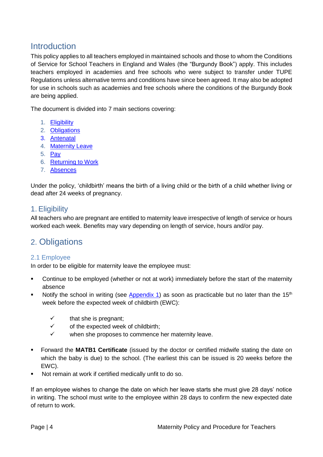# <span id="page-3-0"></span>Introduction

This policy applies to all teachers employed in maintained schools and those to whom the Conditions of Service for School Teachers in England and Wales (the "Burgundy Book") apply. This includes teachers employed in academies and free schools who were subject to transfer under TUPE Regulations unless alternative terms and conditions have since been agreed. It may also be adopted for use in schools such as academies and free schools where the conditions of the Burgundy Book are being applied.

The document is divided into 7 main sections covering:

- 1. [Eligibility](#page-3-1)
- 2. [Obligations](#page-3-2)
- 3. [Antenatal](#page-4-1)
- 4. [Maternity Leave](#page-4-3)
- 5. [Pay](#page-5-2)
- 6. [Returning to Work](#page-7-0)
- 7. [Absences](#page-8-0)

Under the policy, 'childbirth' means the birth of a living child or the birth of a child whether living or dead after 24 weeks of pregnancy.

## <span id="page-3-1"></span>1. Eligibility

All teachers who are pregnant are entitled to maternity leave irrespective of length of service or hours worked each week. Benefits may vary depending on length of service, hours and/or pay.

# <span id="page-3-4"></span><span id="page-3-2"></span>2. Obligations

#### <span id="page-3-3"></span>2.1 Employee

In order to be eligible for maternity leave the employee must:

- Continue to be employed (whether or not at work) immediately before the start of the maternity absence
- Notify the school in writing (see [Appendix 1\)](#page-10-0) as soon as practicable but no later than the 15<sup>th</sup> week before the expected week of childbirth (EWC):
	- $\checkmark$  that she is pregnant;
	- $\checkmark$  of the expected week of childbirth;
	- $\checkmark$  when she proposes to commence her maternity leave.
- Forward the **MATB1 Certificate** (issued by the doctor or certified midwife stating the date on which the baby is due) to the school. (The earliest this can be issued is 20 weeks before the EWC).
- Not remain at work if certified medically unfit to do so.

If an employee wishes to change the date on which her leave starts she must give 28 days' notice in writing. The school must write to the employee within 28 days to confirm the new expected date of return to work.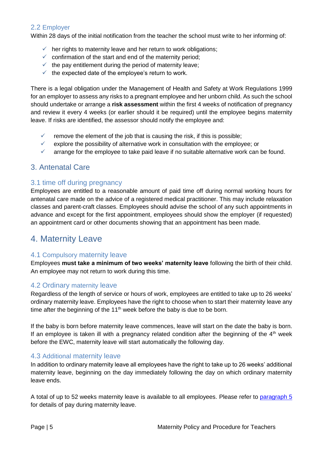#### <span id="page-4-0"></span>2.2 Employer

Within 28 days of the initial notification from the teacher the school must write to her informing of:

- $\checkmark$  her rights to maternity leave and her return to work obligations;
- $\checkmark$  confirmation of the start and end of the maternity period;
- $\checkmark$  the pay entitlement during the period of maternity leave;
- $\checkmark$  the expected date of the employee's return to work.

There is a legal obligation under the Management of Health and Safety at Work Regulations 1999 for an employer to assess any risks to a pregnant employee and her unborn child. As such the school should undertake or arrange a **risk assessment** within the first 4 weeks of notification of pregnancy and review it every 4 weeks (or earlier should it be required) until the employee begins maternity leave. If risks are identified, the assessor should notify the employee and:

- $\checkmark$  remove the element of the job that is causing the risk, if this is possible;
- $\checkmark$  explore the possibility of alternative work in consultation with the employee; or
- $\checkmark$  arrange for the employee to take paid leave if no suitable alternative work can be found.

### <span id="page-4-1"></span>3. Antenatal Care

#### <span id="page-4-2"></span>3.1 time off during pregnancy

Employees are entitled to a reasonable amount of paid time off during normal working hours for antenatal care made on the advice of a registered medical practitioner. This may include relaxation classes and parent-craft classes. Employees should advise the school of any such appointments in advance and except for the first appointment, employees should show the employer (if requested) an appointment card or other documents showing that an appointment has been made.

## <span id="page-4-3"></span>4. Maternity Leave

#### <span id="page-4-4"></span>4.1 Compulsory maternity leave

Employees **must take a minimum of two weeks' maternity leave** following the birth of their child. An employee may not return to work during this time.

#### <span id="page-4-5"></span>4.2 Ordinary maternity leave

Regardless of the length of service or hours of work, employees are entitled to take up to 26 weeks' ordinary maternity leave. Employees have the right to choose when to start their maternity leave any time after the beginning of the  $11<sup>th</sup>$  week before the baby is due to be born.

If the baby is born before maternity leave commences, leave will start on the date the baby is born. If an employee is taken ill with a pregnancy related condition after the beginning of the  $4<sup>th</sup>$  week before the EWC, maternity leave will start automatically the following day.

#### <span id="page-4-6"></span>4.3 Additional maternity leave

In addition to ordinary maternity leave all employees have the right to take up to 26 weeks' additional maternity leave, beginning on the day immediately following the day on which ordinary maternity leave ends.

A total of up to 52 weeks maternity leave is available to all employees. Please refer to [paragraph 5](#page-5-2) for details of pay during maternity leave.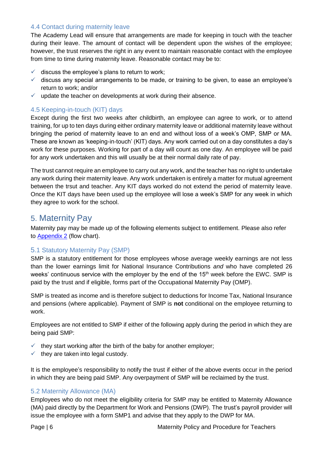#### <span id="page-5-0"></span>4.4 Contact during maternity leave

The Academy Lead will ensure that arrangements are made for keeping in touch with the teacher during their leave. The amount of contact will be dependent upon the wishes of the employee; however, the trust reserves the right in any event to maintain reasonable contact with the employee from time to time during maternity leave. Reasonable contact may be to:

- $\checkmark$  discuss the employee's plans to return to work;
- $\checkmark$  discuss any special arrangements to be made, or training to be given, to ease an employee's return to work; and/or
- $\checkmark$  update the teacher on developments at work during their absence.

#### <span id="page-5-1"></span>4.5 Keeping-in-touch (KIT) days

Except during the first two weeks after childbirth, an employee can agree to work, or to attend training, for up to ten days during either ordinary maternity leave or additional maternity leave without bringing the period of maternity leave to an end and without loss of a week's OMP, SMP or MA. These are known as 'keeping-in-touch' (KIT) days. Any work carried out on a day constitutes a day's work for these purposes. Working for part of a day will count as one day. An employee will be paid for any work undertaken and this will usually be at their normal daily rate of pay.

The trust cannot require an employee to carry out any work, and the teacher has no right to undertake any work during their maternity leave. Any work undertaken is entirely a matter for mutual agreement between the trsut and teacher. Any KIT days worked do not extend the period of maternity leave. Once the KIT days have been used up the employee will lose a week's SMP for any week in which they agree to work for the school.

## <span id="page-5-2"></span>5. Maternity Pay

Maternity pay may be made up of the following elements subject to entitlement. Please also refer to [Appendix 2](#page-11-0) (flow chart).

#### <span id="page-5-3"></span>5.1 Statutory Maternity Pay (SMP)

SMP is a statutory entitlement for those employees whose average weekly earnings are not less than the lower earnings limit for National Insurance Contributions *and* who have completed 26 weeks' continuous service with the employer by the end of the 15<sup>th</sup> week before the EWC. SMP is paid by the trust and if eligible, forms part of the Occupational Maternity Pay (OMP).

SMP is treated as income and is therefore subject to deductions for Income Tax, National Insurance and pensions (where applicable). Payment of SMP is **not** conditional on the employee returning to work.

Employees are not entitled to SMP if either of the following apply during the period in which they are being paid SMP:

- $\checkmark$  they start working after the birth of the baby for another employer;
- $\checkmark$  they are taken into legal custody.

It is the employee's responsibility to notify the trust if either of the above events occur in the period in which they are being paid SMP. Any overpayment of SMP will be reclaimed by the trust.

#### <span id="page-5-4"></span>5.2 Maternity Allowance (MA)

Employees who do not meet the eligibility criteria for SMP may be entitled to Maternity Allowance (MA) paid directly by the Department for Work and Pensions (DWP). The trust's payroll provider will issue the employee with a form SMP1 and advise that they apply to the DWP for MA.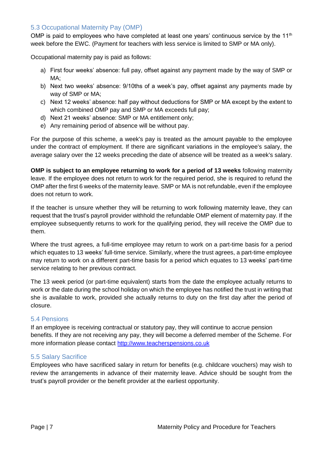#### <span id="page-6-0"></span>5.3 Occupational Maternity Pay (OMP)

OMP is paid to employees who have completed at least one years' continuous service by the  $11<sup>th</sup>$ week before the EWC. (Payment for teachers with less service is limited to SMP or MA only).

Occupational maternity pay is paid as follows:

- a) First four weeks' absence: full pay, offset against any payment made by the way of SMP or MA;
- b) Next two weeks' absence: 9/10ths of a week's pay, offset against any payments made by way of SMP or MA;
- c) Next 12 weeks' absence: half pay without deductions for SMP or MA except by the extent to which combined OMP pay and SMP or MA exceeds full pay;
- d) Next 21 weeks' absence: SMP or MA entitlement only;
- e) Any remaining period of absence will be without pay.

For the purpose of this scheme, a week's pay is treated as the amount payable to the employee under the contract of employment. If there are significant variations in the employee's salary, the average salary over the 12 weeks preceding the date of absence will be treated as a week's salary.

**OMP is subject to an employee returning to work for a period of 13 weeks** following maternity leave. If the employee does not return to work for the required period, she is required to refund the OMP after the first 6 weeks of the maternity leave. SMP or MA is not refundable, even if the employee does not return to work.

If the teacher is unsure whether they will be returning to work following maternity leave, they can request that the trust's payroll provider withhold the refundable OMP element of maternity pay. If the employee subsequently returns to work for the qualifying period, they will receive the OMP due to them.

Where the trust agrees, a full-time employee may return to work on a part-time basis for a period which equates to 13 weeks' full-time service. Similarly, where the trust agrees, a part-time employee may return to work on a different part-time basis for a period which equates to 13 weeks' part-time service relating to her previous contract.

The 13 week period (or part-time equivalent) starts from the date the employee actually returns to work or the date during the school holiday on which the employee has notified the trust in writing that she is available to work, provided she actually returns to duty on the first day after the period of closure.

#### <span id="page-6-1"></span>5.4 Pensions

If an employee is receiving contractual or statutory pay, they will continue to accrue pension benefits. If they are not receiving any pay, they will become a deferred member of the Scheme. For more information please contact [http://www.teacherspensions.co.uk](http://www.teacherspensions.co.uk/)

#### <span id="page-6-2"></span>5.5 Salary Sacrifice

Employees who have sacrificed salary in return for benefits (e.g. childcare vouchers) may wish to review the arrangements in advance of their maternity leave. Advice should be sought from the trust's payroll provider or the benefit provider at the earliest opportunity.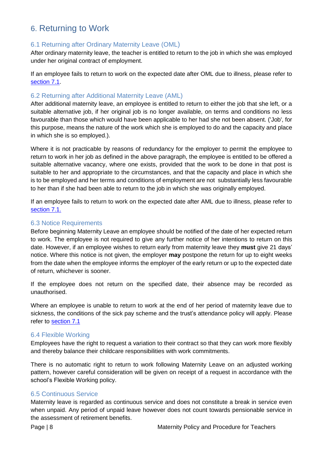# <span id="page-7-0"></span>6. Returning to Work

#### <span id="page-7-1"></span>6.1 Returning after Ordinary Maternity Leave (OML)

After ordinary maternity leave, the teacher is entitled to return to the job in which she was employed under her original contract of employment.

If an employee fails to return to work on the expected date after OML due to illness, please refer to [section 7.1.](#page-8-1)

#### <span id="page-7-2"></span>6.2 Returning after Additional Maternity Leave (AML)

After additional maternity leave, an employee is entitled to return to either the job that she left, or a suitable alternative job, if her original job is no longer available, on terms and conditions no less favourable than those which would have been applicable to her had she not been absent. ('Job', for this purpose, means the nature of the work which she is employed to do and the capacity and place in which she is so employed.).

Where it is not practicable by reasons of redundancy for the employer to permit the employee to return to work in her job as defined in the above paragraph, the employee is entitled to be offered a suitable alternative vacancy, where one exists, provided that the work to be done in that post is suitable to her and appropriate to the circumstances, and that the capacity and place in which she is to be employed and her terms and conditions of employment are not substantially less favourable to her than if she had been able to return to the job in which she was originally employed.

If an employee fails to return to work on the expected date after AML due to illness, please refer to [section 7.1.](#page-8-1)

#### <span id="page-7-3"></span>6.3 Notice Requirements

Before beginning Maternity Leave an employee should be notified of the date of her expected return to work. The employee is not required to give any further notice of her intentions to return on this date. However, if an employee wishes to return early from maternity leave they **must** give 21 days' notice. Where this notice is not given, the employer **may** postpone the return for up to eight weeks from the date when the employee informs the employer of the early return or up to the expected date of return, whichever is sooner.

If the employee does not return on the specified date, their absence may be recorded as unauthorised.

Where an employee is unable to return to work at the end of her period of maternity leave due to sickness, the conditions of the sick pay scheme and the trust's attendance policy will apply. Please refer to [section 7.1](#page-8-1)

#### <span id="page-7-4"></span>6.4 Flexible Working

Employees have the right to request a variation to their contract so that they can work more flexibly and thereby balance their childcare responsibilities with work commitments.

There is no automatic right to return to work following Maternity Leave on an adjusted working pattern, however careful consideration will be given on receipt of a request in accordance with the school's Flexible Working policy.

#### <span id="page-7-5"></span>6.5 Continuous Service

Maternity leave is regarded as continuous service and does not constitute a break in service even when unpaid. Any period of unpaid leave however does not count towards pensionable service in the assessment of retirement benefits.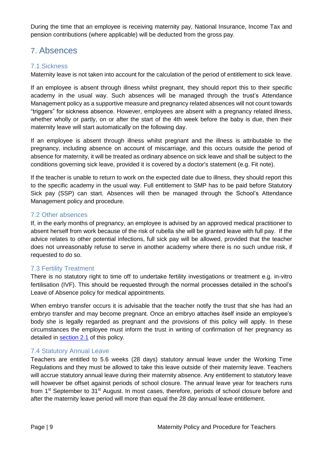During the time that an employee is receiving maternity pay, National Insurance, Income Tax and pension contributions (where applicable) will be deducted from the gross pay.

# <span id="page-8-0"></span>7. Absences

#### <span id="page-8-1"></span>7.1 Sickness

Maternity leave is not taken into account for the calculation of the period of entitlement to sick leave.

If an employee is absent through illness whilst pregnant, they should report this to their specific academy in the usual way. Such absences will be managed through the trust's Attendance Management policy as a supportive measure and pregnancy related absences will not count towards "triggers" for sickness absence. However, employees are absent with a pregnancy related illness, whether wholly or partly, on or after the start of the 4th week before the baby is due, then their maternity leave will start automatically on the following day.

If an employee is absent through illness whilst pregnant and the illness is attributable to the pregnancy, including absence on account of miscarriage, and this occurs outside the period of absence for maternity, it will be treated as ordinary absence on sick leave and shall be subject to the conditions governing sick leave, provided it is covered by a doctor's statement (e.g. Fit note).

If the teacher is unable to return to work on the expected date due to illness, they should report this to the specific academy in the usual way. Full entitlement to SMP has to be paid before Statutory Sick pay (SSP) can start. Absences will then be managed through the School's Attendance Management policy and procedure.

#### <span id="page-8-2"></span>7.2 Other absences

If, in the early months of pregnancy, an employee is advised by an approved medical practitioner to absent herself from work because of the risk of rubella she will be granted leave with full pay. If the advice relates to other potential infections, full sick pay will be allowed, provided that the teacher does not unreasonably refuse to serve in another academy where there is no such undue risk, if requested to do so.

#### <span id="page-8-3"></span>7.3 Fertility Treatment

There is no statutory right to time off to undertake fertility investigations or treatment e.g. in-vitro fertilisation (IVF). This should be requested through the normal processes detailed in the school's Leave of Absence policy for medical appointments.

When embryo transfer occurs it is advisable that the teacher notify the trust that she has had an embryo transfer and may become pregnant. Once an embryo attaches itself inside an employee's body she is legally regarded as pregnant and the provisions of this policy will apply. In these circumstances the employee must inform the trust in writing of confirmation of her pregnancy as detailed in [section 2.1](#page-3-4) of this policy.

#### <span id="page-8-4"></span>7.4 Statutory Annual Leave

Teachers are entitled to 5.6 weeks (28 days) statutory annual leave under the Working Time Regulations and they must be allowed to take this leave outside of their maternity leave. Teachers will accrue statutory annual leave during their maternity absence. Any entitlement to statutory leave will however be offset against periods of school closure. The annual leave year for teachers runs from 1<sup>st</sup> September to 31<sup>st</sup> August. In most cases, therefore, periods of school closure before and after the maternity leave period will more than equal the 28 day annual leave entitlement.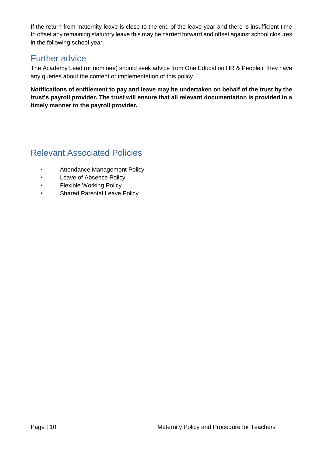If the return from maternity leave is close to the end of the leave year and there is insufficient time to offset any remaining statutory leave this may be carried forward and offset against school closures in the following school year.

## <span id="page-9-0"></span>Further advice

The Academy Lead (or nominee) should seek advice from One Education HR & People if they have any queries about the content or implementation of this policy.

**Notifications of entitlement to pay and leave may be undertaken on behalf of the trust by the trust's payroll provider. The trust will ensure that all relevant documentation is provided in a timely manner to the payroll provider.** 

# <span id="page-9-1"></span>Relevant Associated Policies

- Attendance Management Policy
- Leave of Absence Policy
- Flexible Working Policy
- Shared Parental Leave Policy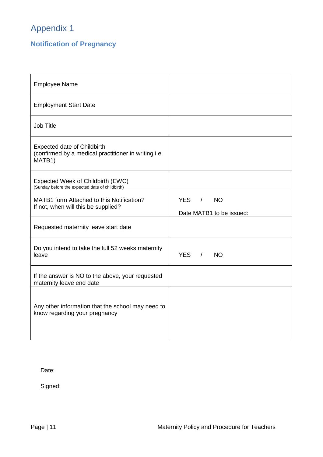# <span id="page-10-0"></span>Appendix 1

# <span id="page-10-1"></span>**Notification of Pregnancy**

| <b>Employee Name</b>                                                                                 |                                                                 |
|------------------------------------------------------------------------------------------------------|-----------------------------------------------------------------|
| <b>Employment Start Date</b>                                                                         |                                                                 |
| <b>Job Title</b>                                                                                     |                                                                 |
| <b>Expected date of Childbirth</b><br>(confirmed by a medical practitioner in writing i.e.<br>MATB1) |                                                                 |
| Expected Week of Childbirth (EWC)<br>(Sunday before the expected date of childbirth)                 |                                                                 |
| MATB1 form Attached to this Notification?<br>If not, when will this be supplied?                     | <b>YES</b><br><b>NO</b><br>$\prime$<br>Date MATB1 to be issued: |
| Requested maternity leave start date                                                                 |                                                                 |
| Do you intend to take the full 52 weeks maternity<br>leave                                           | YES / NO                                                        |
| If the answer is NO to the above, your requested<br>maternity leave end date                         |                                                                 |
| Any other information that the school may need to<br>know regarding your pregnancy                   |                                                                 |

Date:

Signed: